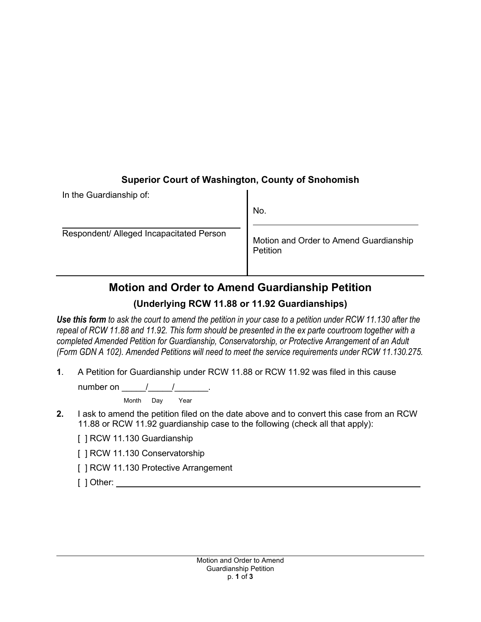## **Superior Court of Washington, County of Snohomish**

| In the Guardianship of:                  |                                                    |
|------------------------------------------|----------------------------------------------------|
|                                          | No.                                                |
| Respondent/ Alleged Incapacitated Person | Motion and Order to Amend Guardianship<br>Petition |

## **Motion and Order to Amend Guardianship Petition**

## **(Underlying RCW 11.88 or 11.92 Guardianships)**

*Use this form to ask the court to amend the petition in your case to a petition under RCW 11.130 after the repeal of RCW 11.88 and 11.92. This form should be presented in the ex parte courtroom together with a completed Amended Petition for Guardianship, Conservatorship, or Protective Arrangement of an Adult (Form GDN A 102). Amended Petitions will need to meet the service requirements under RCW 11.130.275.* 

**1**. A Petition for Guardianship under RCW 11.88 or RCW 11.92 was filed in this cause

number on  $\frac{1}{\sqrt{1-\frac{1}{2}}}$ .

Month Day Year

**2.** I ask to amend the petition filed on the date above and to convert this case from an RCW 11.88 or RCW 11.92 guardianship case to the following (check all that apply):

[ ] RCW 11.130 Guardianship

[ ] RCW 11.130 Conservatorship

- [ ] RCW 11.130 Protective Arrangement
- [ ] Other: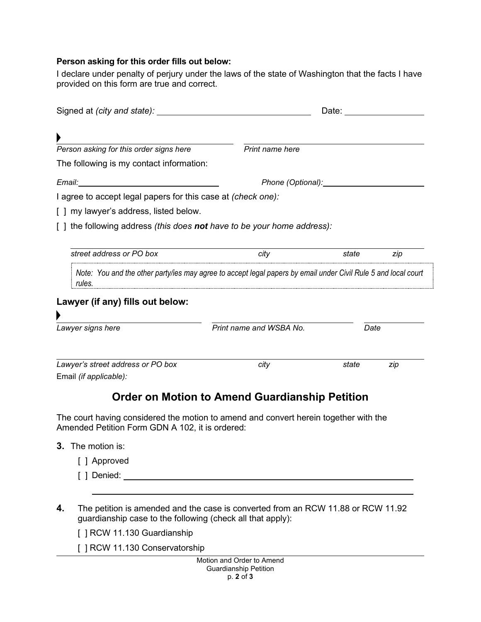## **Person asking for this order fills out below:**

I declare under penalty of perjury under the laws of the state of Washington that the facts I have provided on this form are true and correct.

| Signed at (city and state): <u>contained</u> and state and state of the state of the state of the state of the state of the state of the state of the state of the state of the state of the state of the state of the state of the |                                                                                                                |       |     |
|-------------------------------------------------------------------------------------------------------------------------------------------------------------------------------------------------------------------------------------|----------------------------------------------------------------------------------------------------------------|-------|-----|
|                                                                                                                                                                                                                                     |                                                                                                                |       |     |
| Person asking for this order signs here                                                                                                                                                                                             | Print name here                                                                                                |       |     |
| The following is my contact information:                                                                                                                                                                                            |                                                                                                                |       |     |
| Email:                                                                                                                                                                                                                              | Phone (Optional): Phone (Optional):                                                                            |       |     |
| I agree to accept legal papers for this case at (check one):                                                                                                                                                                        |                                                                                                                |       |     |
| [ ] my lawyer's address, listed below.                                                                                                                                                                                              |                                                                                                                |       |     |
| [ ] the following address <i>(this does <b>not</b> have to be your home address):</i>                                                                                                                                               |                                                                                                                |       |     |
|                                                                                                                                                                                                                                     |                                                                                                                |       |     |
| street address or PO box                                                                                                                                                                                                            | city                                                                                                           | state | zip |
| rules.                                                                                                                                                                                                                              | Note: You and the other party/ies may agree to accept legal papers by email under Civil Rule 5 and local court |       |     |
| Lawyer (if any) fills out below:                                                                                                                                                                                                    |                                                                                                                |       |     |
| Lawyer signs here                                                                                                                                                                                                                   | Print name and WSBA No.                                                                                        | Date  |     |
| Lawyer's street address or PO box                                                                                                                                                                                                   | city                                                                                                           | state | zip |
| Email (if applicable):                                                                                                                                                                                                              |                                                                                                                |       |     |
|                                                                                                                                                                                                                                     | Order on Motion to Amend Guardianship Petition                                                                 |       |     |

The court having considered the motion to amend and convert herein together with the Amended Petition Form GDN A 102, it is ordered:

- **3.** The motion is:
	- [ ] Approved
	- [ ] Denied:
- **4.** The petition is amended and the case is converted from an RCW 11.88 or RCW 11.92 guardianship case to the following (check all that apply):

[ ] RCW 11.130 Guardianship

[ ] RCW 11.130 Conservatorship